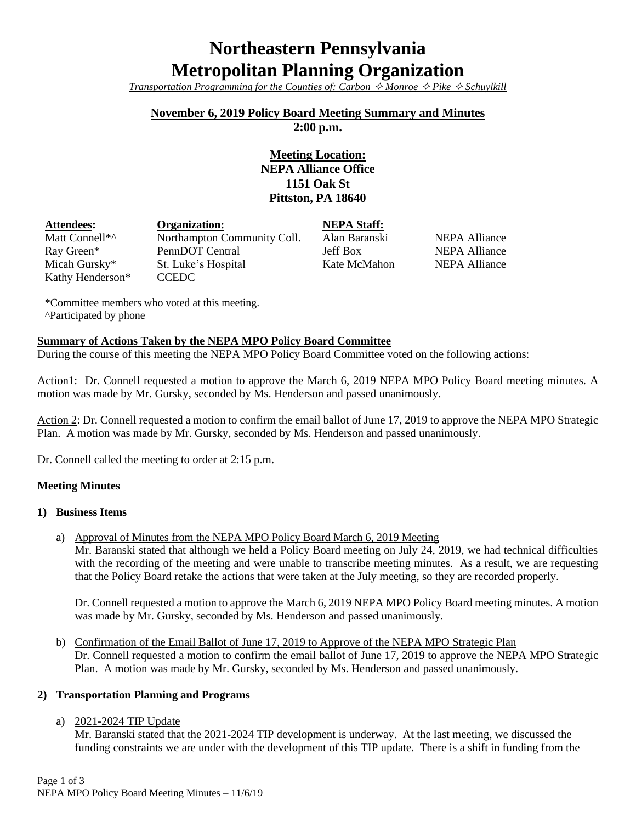# **Northeastern Pennsylvania Metropolitan Planning Organization**

*Transportation Programming for the Counties of: Carbon*  $\hat{\diamond}$  *Monroe*  $\hat{\diamond}$  *Pike*  $\hat{\diamond}$  *Schuylkill* 

## **November 6, 2019 Policy Board Meeting Summary and Minutes**

**2:00 p.m.**

## **Meeting Location: NEPA Alliance Office 1151 Oak St Pittston, PA 18640**

| <b>Attendees:</b> | <b>Organization:</b>        | <b>NEPA Staff:</b> |
|-------------------|-----------------------------|--------------------|
| Matt Connell*^    | Northampton Community Coll. | Alan Baranski      |
| Ray Green*        | PennDOT Central             | Jeff Box           |
| Micah Gursky*     | St. Luke's Hospital         | Kate McMahon       |
| Kathy Henderson*  | <b>CCEDC</b>                |                    |

NEPA Alliance NEPA Alliance **NEPA Alliance** 

\*Committee members who voted at this meeting. ^Participated by phone

## **Summary of Actions Taken by the NEPA MPO Policy Board Committee**

During the course of this meeting the NEPA MPO Policy Board Committee voted on the following actions:

Action1: Dr. Connell requested a motion to approve the March 6, 2019 NEPA MPO Policy Board meeting minutes. A motion was made by Mr. Gursky, seconded by Ms. Henderson and passed unanimously.

Action 2: Dr. Connell requested a motion to confirm the email ballot of June 17, 2019 to approve the NEPA MPO Strategic Plan. A motion was made by Mr. Gursky, seconded by Ms. Henderson and passed unanimously.

Dr. Connell called the meeting to order at 2:15 p.m.

## **Meeting Minutes**

## **1) Business Items**

a) Approval of Minutes from the NEPA MPO Policy Board March 6, 2019 Meeting

Mr. Baranski stated that although we held a Policy Board meeting on July 24, 2019, we had technical difficulties with the recording of the meeting and were unable to transcribe meeting minutes. As a result, we are requesting that the Policy Board retake the actions that were taken at the July meeting, so they are recorded properly.

Dr. Connell requested a motion to approve the March 6, 2019 NEPA MPO Policy Board meeting minutes. A motion was made by Mr. Gursky, seconded by Ms. Henderson and passed unanimously.

b) Confirmation of the Email Ballot of June 17, 2019 to Approve of the NEPA MPO Strategic Plan Dr. Connell requested a motion to confirm the email ballot of June 17, 2019 to approve the NEPA MPO Strategic Plan. A motion was made by Mr. Gursky, seconded by Ms. Henderson and passed unanimously.

## **2) Transportation Planning and Programs**

## a) 2021-2024 TIP Update

Mr. Baranski stated that the 2021-2024 TIP development is underway. At the last meeting, we discussed the funding constraints we are under with the development of this TIP update. There is a shift in funding from the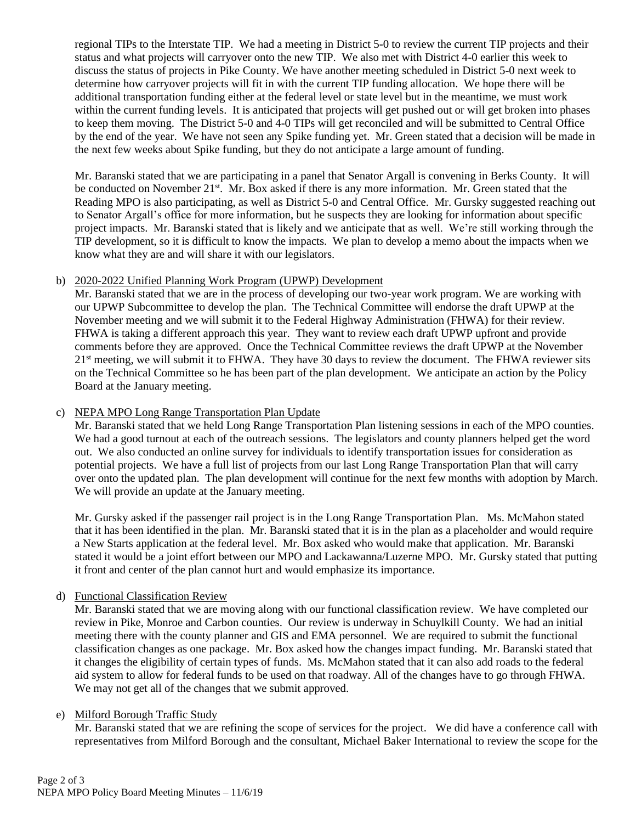regional TIPs to the Interstate TIP. We had a meeting in District 5-0 to review the current TIP projects and their status and what projects will carryover onto the new TIP. We also met with District 4-0 earlier this week to discuss the status of projects in Pike County. We have another meeting scheduled in District 5-0 next week to determine how carryover projects will fit in with the current TIP funding allocation. We hope there will be additional transportation funding either at the federal level or state level but in the meantime, we must work within the current funding levels. It is anticipated that projects will get pushed out or will get broken into phases to keep them moving. The District 5-0 and 4-0 TIPs will get reconciled and will be submitted to Central Office by the end of the year. We have not seen any Spike funding yet. Mr. Green stated that a decision will be made in the next few weeks about Spike funding, but they do not anticipate a large amount of funding.

Mr. Baranski stated that we are participating in a panel that Senator Argall is convening in Berks County. It will be conducted on November 21<sup>st</sup>. Mr. Box asked if there is any more information. Mr. Green stated that the Reading MPO is also participating, as well as District 5-0 and Central Office. Mr. Gursky suggested reaching out to Senator Argall's office for more information, but he suspects they are looking for information about specific project impacts. Mr. Baranski stated that is likely and we anticipate that as well. We're still working through the TIP development, so it is difficult to know the impacts. We plan to develop a memo about the impacts when we know what they are and will share it with our legislators.

## b) 2020-2022 Unified Planning Work Program (UPWP) Development

Mr. Baranski stated that we are in the process of developing our two-year work program. We are working with our UPWP Subcommittee to develop the plan. The Technical Committee will endorse the draft UPWP at the November meeting and we will submit it to the Federal Highway Administration (FHWA) for their review. FHWA is taking a different approach this year. They want to review each draft UPWP upfront and provide comments before they are approved. Once the Technical Committee reviews the draft UPWP at the November 21<sup>st</sup> meeting, we will submit it to FHWA. They have 30 days to review the document. The FHWA reviewer sits on the Technical Committee so he has been part of the plan development. We anticipate an action by the Policy Board at the January meeting.

## c) NEPA MPO Long Range Transportation Plan Update

Mr. Baranski stated that we held Long Range Transportation Plan listening sessions in each of the MPO counties. We had a good turnout at each of the outreach sessions. The legislators and county planners helped get the word out. We also conducted an online survey for individuals to identify transportation issues for consideration as potential projects. We have a full list of projects from our last Long Range Transportation Plan that will carry over onto the updated plan. The plan development will continue for the next few months with adoption by March. We will provide an update at the January meeting.

Mr. Gursky asked if the passenger rail project is in the Long Range Transportation Plan. Ms. McMahon stated that it has been identified in the plan. Mr. Baranski stated that it is in the plan as a placeholder and would require a New Starts application at the federal level. Mr. Box asked who would make that application. Mr. Baranski stated it would be a joint effort between our MPO and Lackawanna/Luzerne MPO. Mr. Gursky stated that putting it front and center of the plan cannot hurt and would emphasize its importance.

## d) Functional Classification Review

Mr. Baranski stated that we are moving along with our functional classification review. We have completed our review in Pike, Monroe and Carbon counties. Our review is underway in Schuylkill County. We had an initial meeting there with the county planner and GIS and EMA personnel. We are required to submit the functional classification changes as one package. Mr. Box asked how the changes impact funding. Mr. Baranski stated that it changes the eligibility of certain types of funds. Ms. McMahon stated that it can also add roads to the federal aid system to allow for federal funds to be used on that roadway. All of the changes have to go through FHWA. We may not get all of the changes that we submit approved.

## e) Milford Borough Traffic Study

Mr. Baranski stated that we are refining the scope of services for the project. We did have a conference call with representatives from Milford Borough and the consultant, Michael Baker International to review the scope for the